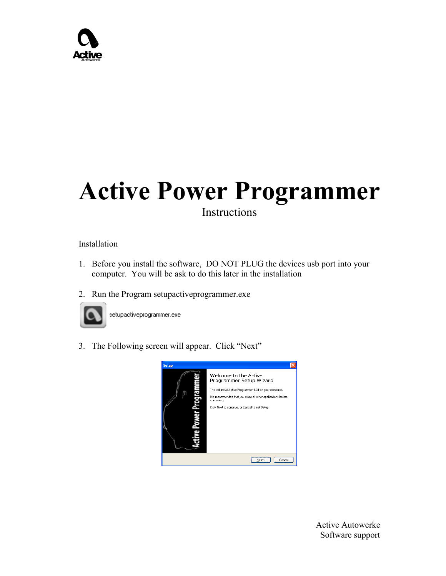## **Active Power Programmer** Instructions

## Installation

- 1. Before you install the software, DO NOT PLUG the devices usb port into your computer. You will be ask to do this later in the installation
- 2. Run the Program setupactiveprogrammer.exe



setupactiveprogrammer.exe

3. The Following screen will appear. Click "Next"

| <b>Setup</b> |                                                                                                                                                                                                                                                     |
|--------------|-----------------------------------------------------------------------------------------------------------------------------------------------------------------------------------------------------------------------------------------------------|
| Ξ            | Welcome to the Active<br>Programmer Setup Wizard<br>This will install Active Programmer 1.34 on your computer.<br>It is recommended that you close all other applications before<br>continuing.<br>Click Next to continue, or Cancel to exit Setup. |
|              | Cancel<br>Next:                                                                                                                                                                                                                                     |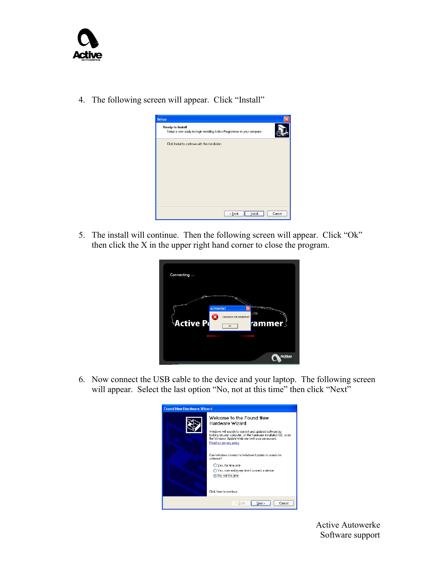

4. The following screen will appear. Click "Install"



5. The install will continue. Then the following screen will appear. Click "Ok" then click the X in the upper right hand corner to close the program.

| Connecting      |                                                                  |
|-----------------|------------------------------------------------------------------|
| <b>Active P</b> | <b>AUTOWERKE</b><br>Connection not established<br>rammer∫<br>OK. |
|                 | 000000<br>ach                                                    |

6. Now connect the USB cable to the device and your laptop. The following screen will appear. Select the last option "No, not at this time" then click "Next"

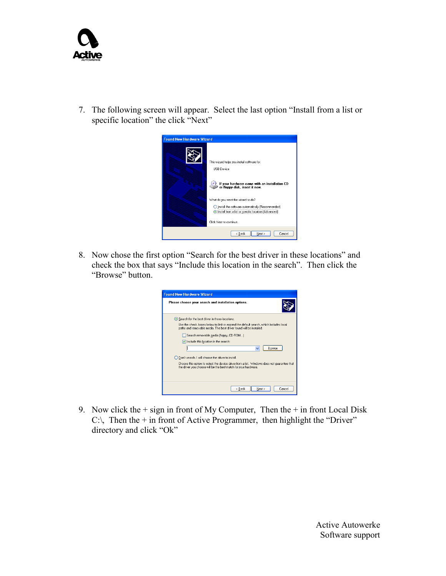

7. The following screen will appear. Select the last option "Install from a list or specific location" the click "Next"



8. Now chose the first option "Search for the best driver in these locations" and check the box that says "Include this location in the search". Then click the "Browse" button.

| <b>Found New Hardware Wizard</b>                                                                                                                               |  |  |  |  |
|----------------------------------------------------------------------------------------------------------------------------------------------------------------|--|--|--|--|
| Please choose your search and installation options.                                                                                                            |  |  |  |  |
| Search for the best driver in these locations.                                                                                                                 |  |  |  |  |
| Use the check boxes below to limit or expand the default search, which includes local<br>paths and removable media. The best driver found will be installed.   |  |  |  |  |
| Search removable media (floppy, CD-ROM)                                                                                                                        |  |  |  |  |
| Include this location in the search:                                                                                                                           |  |  |  |  |
| Browse<br>$\checkmark$                                                                                                                                         |  |  |  |  |
| Don't search. I will choose the driver to install.<br>$\bigcap$                                                                                                |  |  |  |  |
| Choose this option to select the device driver from a list. Windows does not quarantee that<br>the driver you choose will be the best match for your hardware. |  |  |  |  |
| < Back<br>Next ><br>Cancel                                                                                                                                     |  |  |  |  |

9. Now click the  $+$  sign in front of My Computer, Then the  $+$  in front Local Disk C: $\setminus$  Then the + in front of Active Programmer, then highlight the "Driver" directory and click "Ok"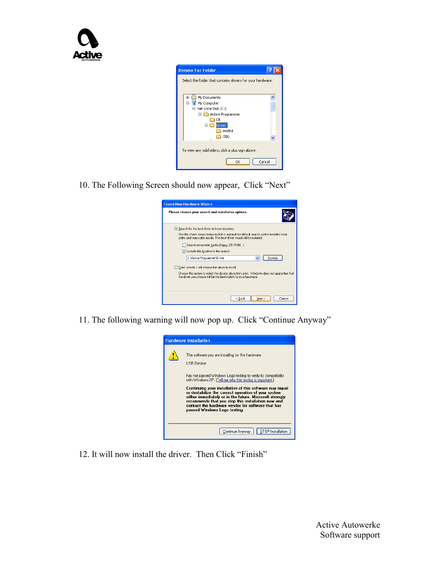

| <b>Browse For Folder</b>                                   |        |  |  |
|------------------------------------------------------------|--------|--|--|
| Select the folder that contains drivers for your hardware. |        |  |  |
|                                                            |        |  |  |
| My Documents<br>Œ                                          |        |  |  |
| Θ<br>My Computer                                           |        |  |  |
| $\Box \blacktriangleleft$ Local Disk (C:)                  |        |  |  |
| Active Programmer                                          |        |  |  |
| ÐII                                                        |        |  |  |
| <b>Driver</b><br>⊟                                         |        |  |  |
| amd64                                                      |        |  |  |
| i386                                                       |        |  |  |
|                                                            |        |  |  |
| To view any subfolders, click a plus sign above.           |        |  |  |
| OK                                                         | Cancel |  |  |

10. The Following Screen should now appear, Click "Next"

| <b>Found New Hardware Wizard</b>                                                                                                                               |
|----------------------------------------------------------------------------------------------------------------------------------------------------------------|
| Please choose your search and installation options.                                                                                                            |
| Search for the best driver in these locations.                                                                                                                 |
| Use the check boxes below to limit or expand the default search, which includes local<br>paths and removable media. The best driver found will be installed.   |
| Search removable media (floppy, CD-ROM)                                                                                                                        |
| Include this location in the search:                                                                                                                           |
| C:\Active Programmer\Driver<br>Browse                                                                                                                          |
| Don't search. I will choose the driver to install.                                                                                                             |
| Choose this option to select the device driver from a list. Windows does not quarantee that<br>the driver you choose will be the best match for your hardware. |
|                                                                                                                                                                |
| < Back<br>Next ><br>Cancel                                                                                                                                     |

11. The following warning will now pop up. Click "Continue Anyway"



12. It will now install the driver. Then Click "Finish"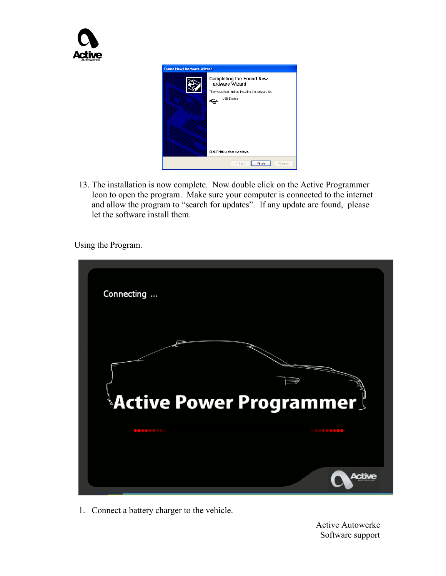

13. The installation is now complete. Now double click on the Active Programmer Icon to open the program. Make sure your computer is connected to the internet and allow the program to "search for updates". If any update are found, please let the software install them.

Using the Program.



1. Connect a battery charger to the vehicle.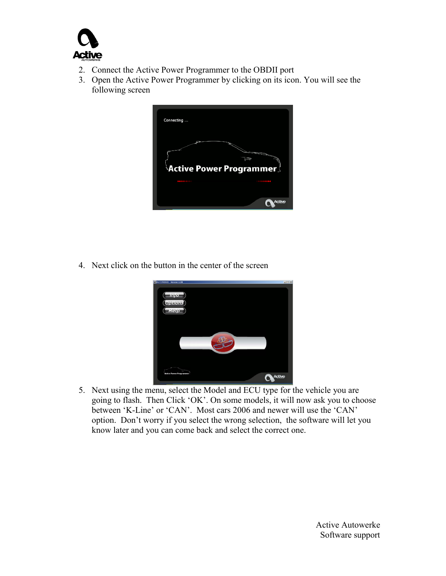

- 2. Connect the Active Power Programmer to the OBDII port
- 3. Open the Active Power Programmer by clicking on its icon. You will see the following screen



4. Next click on the button in the center of the screen



5. Next using the menu, select the Model and ECU type for the vehicle you are going to flash. Then Click "OK". On some models, it will now ask you to choose between 'K-Line' or 'CAN'. Most cars 2006 and newer will use the 'CAN' option. Don"t worry if you select the wrong selection, the software will let you know later and you can come back and select the correct one.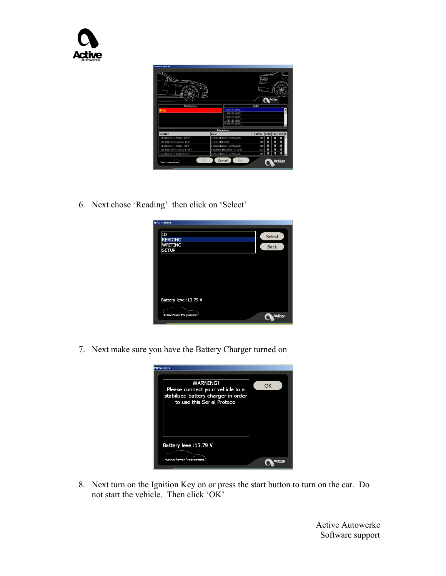

6. Next chose "Reading" then click on "Select"



7. Next make sure you have the Battery Charger turned on



8. Next turn on the Ignition Key on or press the start button to turn on the car. Do not start the vehicle. Then click "OK"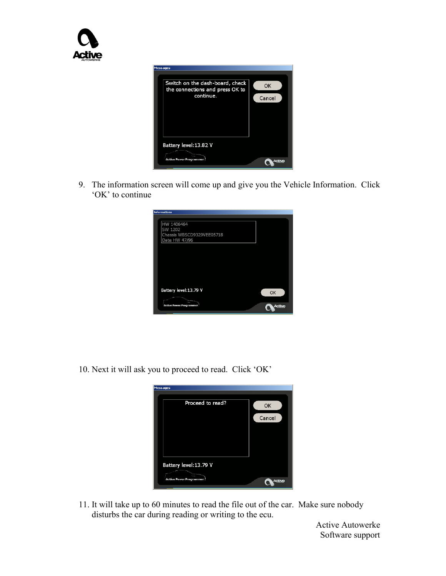

9. The information screen will come up and give you the Vehicle Information. Click 'OK' to continue

| OK |
|----|
|    |
|    |
|    |
|    |

10. Next it will ask you to proceed to read. Click "OK"

| <b>Messages</b>          |        |
|--------------------------|--------|
| Proceed to read?         | OK     |
|                          |        |
|                          | Cancel |
|                          |        |
|                          |        |
|                          |        |
| Battery level: 13.79 V   |        |
| Active Power Programmer! | æĸ     |
|                          |        |

11. It will take up to 60 minutes to read the file out of the car. Make sure nobody disturbs the car during reading or writing to the ecu.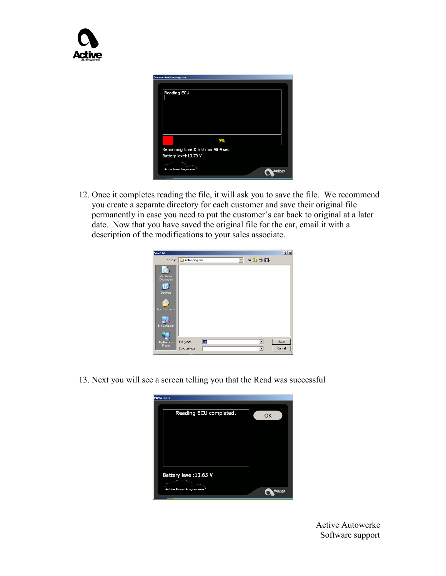

12. Once it completes reading the file, it will ask you to save the file. We recommend you create a separate directory for each customer and save their original file permanently in case you need to put the customer's car back to original at a later date. Now that you have saved the original file for the car, email it with a description of the modifications to your sales associate.

| Save As                           |                          |     |         |       | 2 X    |
|-----------------------------------|--------------------------|-----|---------|-------|--------|
|                                   | Save in: Activeprogramer |     | $\vert$ | ← 白づ田 |        |
| My Recent<br>Documents<br>Desktop |                          |     |         |       |        |
| My Documents                      |                          |     |         |       |        |
| My Computer                       |                          |     |         |       |        |
| My Network                        | File name:               | stk |         |       | Save   |
| Places                            | Save as type:            |     |         |       | Cancel |

13. Next you will see a screen telling you that the Read was successful

| Messages                |    |
|-------------------------|----|
|                         |    |
|                         |    |
| Reading ECU completed.  | OK |
|                         |    |
|                         |    |
|                         |    |
|                         |    |
|                         |    |
|                         |    |
|                         |    |
|                         |    |
|                         |    |
|                         |    |
|                         |    |
| Battery level: 13.65 V  |    |
|                         |    |
| Active Power Programmer |    |
|                         |    |
|                         |    |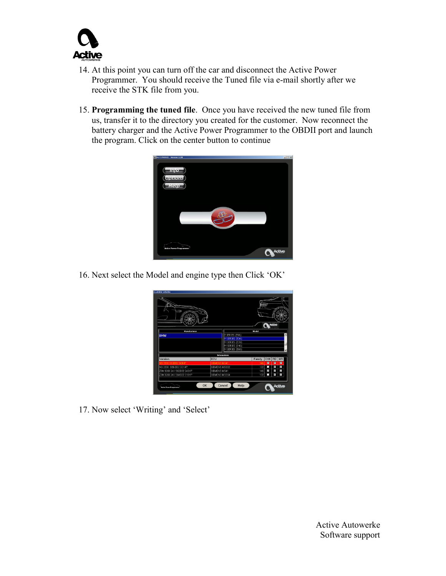

- 14. At this point you can turn off the car and disconnect the Active Power Programmer. You should receive the Tuned file via e-mail shortly after we receive the STK file from you.
- 15. **Programming the tuned file**. Once you have received the new tuned file from us, transfer it to the directory you created for the customer. Now reconnect the battery charger and the Active Power Programmer to the OBDII port and launch the program. Click on the center button to continue



16. Next select the Model and engine type then Click "OK"



17. Now select 'Writing' and 'Select'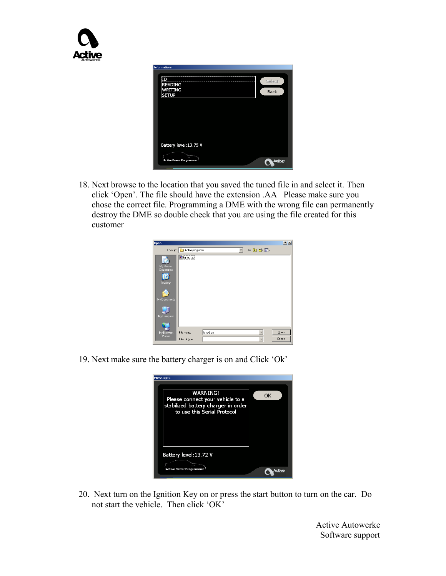| <b>Informations</b>                             |                       |
|-------------------------------------------------|-----------------------|
| ΙD<br><b>READING</b><br>WRITING<br><b>SETUP</b> | Select<br><b>Back</b> |
| Battery level: 13.75 V                          |                       |
| <b>Active Power Programmer</b>                  |                       |

18. Next browse to the location that you saved the tuned file in and select it. Then click "Open". The file should have the extension .AA Please make sure you chose the correct file. Programming a DME with the wrong file can permanently destroy the DME so double check that you are using the file created for this customer

| <b>Open</b>             |                              |          |   |      | 2 X            |
|-------------------------|------------------------------|----------|---|------|----------------|
|                         | Look in: Activeprogramer     |          | ▼ | +白的画 |                |
| My Recent<br>Documents  | dituned.aa                   |          |   |      |                |
| Desktop<br>My Documents |                              |          |   |      |                |
| My Computer             |                              |          |   |      |                |
| My Network<br>Places    | File name:<br>Files of type: | tuned.aa |   |      | Open<br>Cancel |

19. Next make sure the battery charger is on and Click "Ok"

| <b>Messages</b>                                                                                                           |    |
|---------------------------------------------------------------------------------------------------------------------------|----|
| <b>WARNING!</b><br>Please connect your vehicle to a<br>stabilized battery charger in order<br>to use this Serial Protocol | OK |
| Battery level:13.72 V<br>Active Power Programmer                                                                          |    |

20. Next turn on the Ignition Key on or press the start button to turn on the car. Do not start the vehicle. Then click "OK"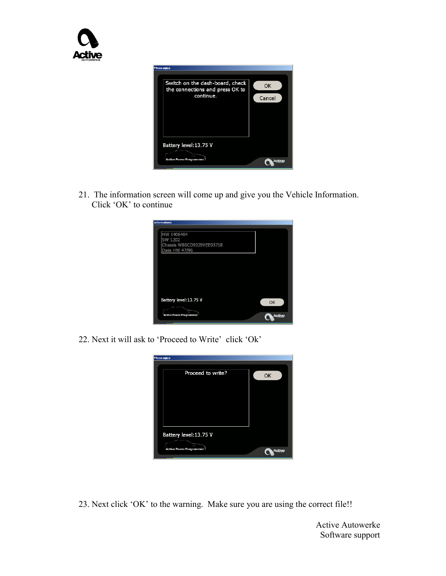

21. The information screen will come up and give you the Vehicle Information. Click "OK" to continue



22. Next it will ask to 'Proceed to Write' click 'Ok'



23. Next click "OK" to the warning. Make sure you are using the correct file!!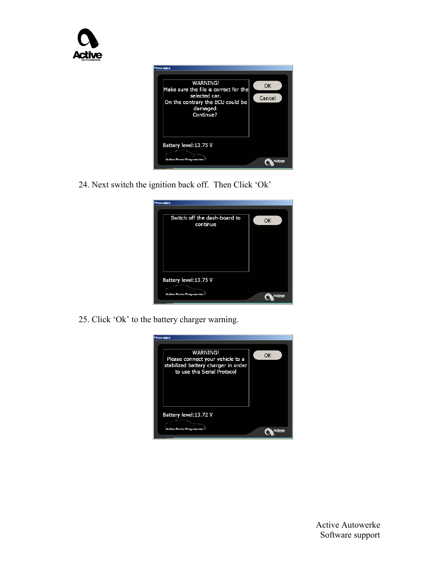

24. Next switch the ignition back off. Then Click "Ok"

| <b>Messages</b>                          |            |  |
|------------------------------------------|------------|--|
| Switch off the dash-board to<br>continue | OK         |  |
|                                          |            |  |
|                                          |            |  |
|                                          |            |  |
| Battery level: 13.75 V                   |            |  |
| Active Power Programmer!                 | <b>CHI</b> |  |

25. Click "Ok" to the battery charger warning.

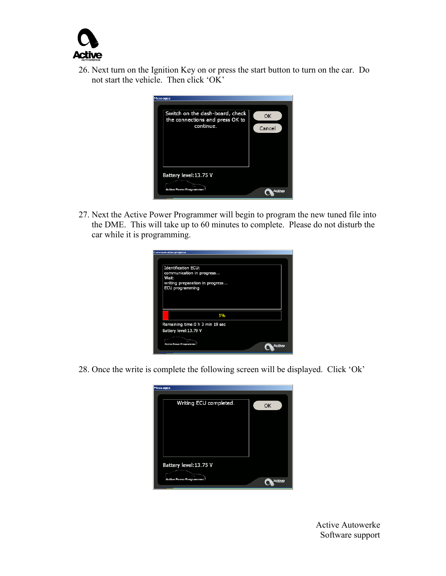

26. Next turn on the Ignition Key on or press the start button to turn on the car. Do not start the vehicle. Then click "OK"

| <b>Messages</b>                                                                 |              |  |
|---------------------------------------------------------------------------------|--------------|--|
| Switch on the dash-board, check<br>the connections and press OK to<br>continue. | OK<br>Cancel |  |
| Battery level: 13.75 V<br>Active Power Programmer                               |              |  |

27. Next the Active Power Programmer will begin to program the new tuned file into the DME. This will take up to 60 minutes to complete. Please do not disturb the car while it is programming.

| ommunication progress                                                                                                  |  |  |
|------------------------------------------------------------------------------------------------------------------------|--|--|
|                                                                                                                        |  |  |
| <b>Identification ECU:</b><br>communication in progress<br>Wait:<br>writing preparation in progress<br>ECU programming |  |  |
| 5%                                                                                                                     |  |  |
| Remaining time: 0 h 3 min 19 sec                                                                                       |  |  |
| Battery level: 13.79 V                                                                                                 |  |  |
|                                                                                                                        |  |  |
| Active Power Programmer                                                                                                |  |  |

28. Once the write is complete the following screen will be displayed. Click "Ok"

| Messages                                          |    |  |
|---------------------------------------------------|----|--|
| Writing ECU completed.                            | OK |  |
| Battery level: 13.75 V<br>Active Power Programmer |    |  |